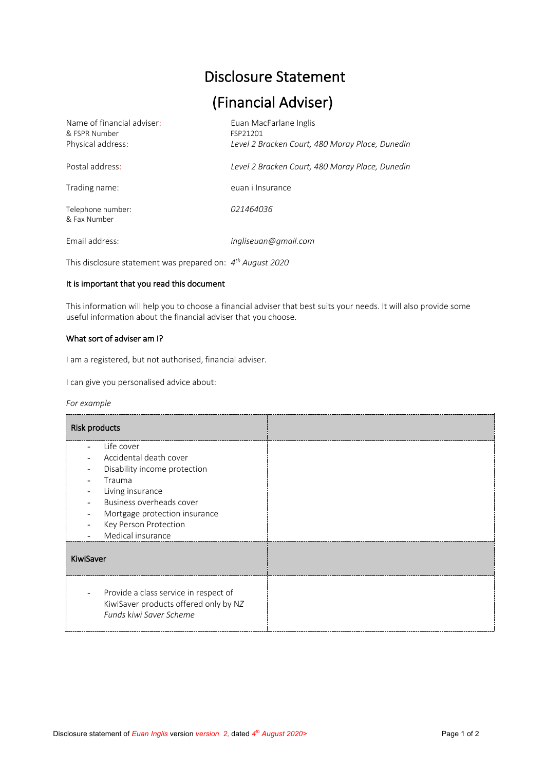# Disclosure Statement

# (Financial Adviser)

| Name of financial adviser:<br>& FSPR Number<br>Physical address: | Euan MacFarlane Inglis<br>FSP21201<br>Level 2 Bracken Court, 480 Moray Place, Dunedin |
|------------------------------------------------------------------|---------------------------------------------------------------------------------------|
| Postal address:                                                  | Level 2 Bracken Court, 480 Moray Place, Dunedin                                       |
| Trading name:                                                    | euan i Insurance                                                                      |
| Telephone number:<br>& Fax Number                                | 021464036                                                                             |
| Email address:                                                   | ingliseuan@gmail.com                                                                  |

This disclosure statement was prepared on: *4th August 2020*

# It is important that you read this document

This information will help you to choose a financial adviser that best suits your needs. It will also provide some useful information about the financial adviser that you choose.

## What sort of adviser am I?

I am a registered, but not authorised, financial adviser.

I can give you personalised advice about:

|  | For example |  |
|--|-------------|--|
|--|-------------|--|

| <b>Risk products</b>                                                                                                                                                                                                                          |  |
|-----------------------------------------------------------------------------------------------------------------------------------------------------------------------------------------------------------------------------------------------|--|
| Life cover<br>Accidental death cover<br>Disability income protection<br>Trauma<br>Living insurance<br>Business overheads cover<br>Mortgage protection insurance<br>$\qquad \qquad \blacksquare$<br>Key Person Protection<br>Medical insurance |  |
| KiwiSaver                                                                                                                                                                                                                                     |  |
| Provide a class service in respect of<br>KiwiSaver products offered only by NZ<br>Funds kiwi Saver Scheme                                                                                                                                     |  |